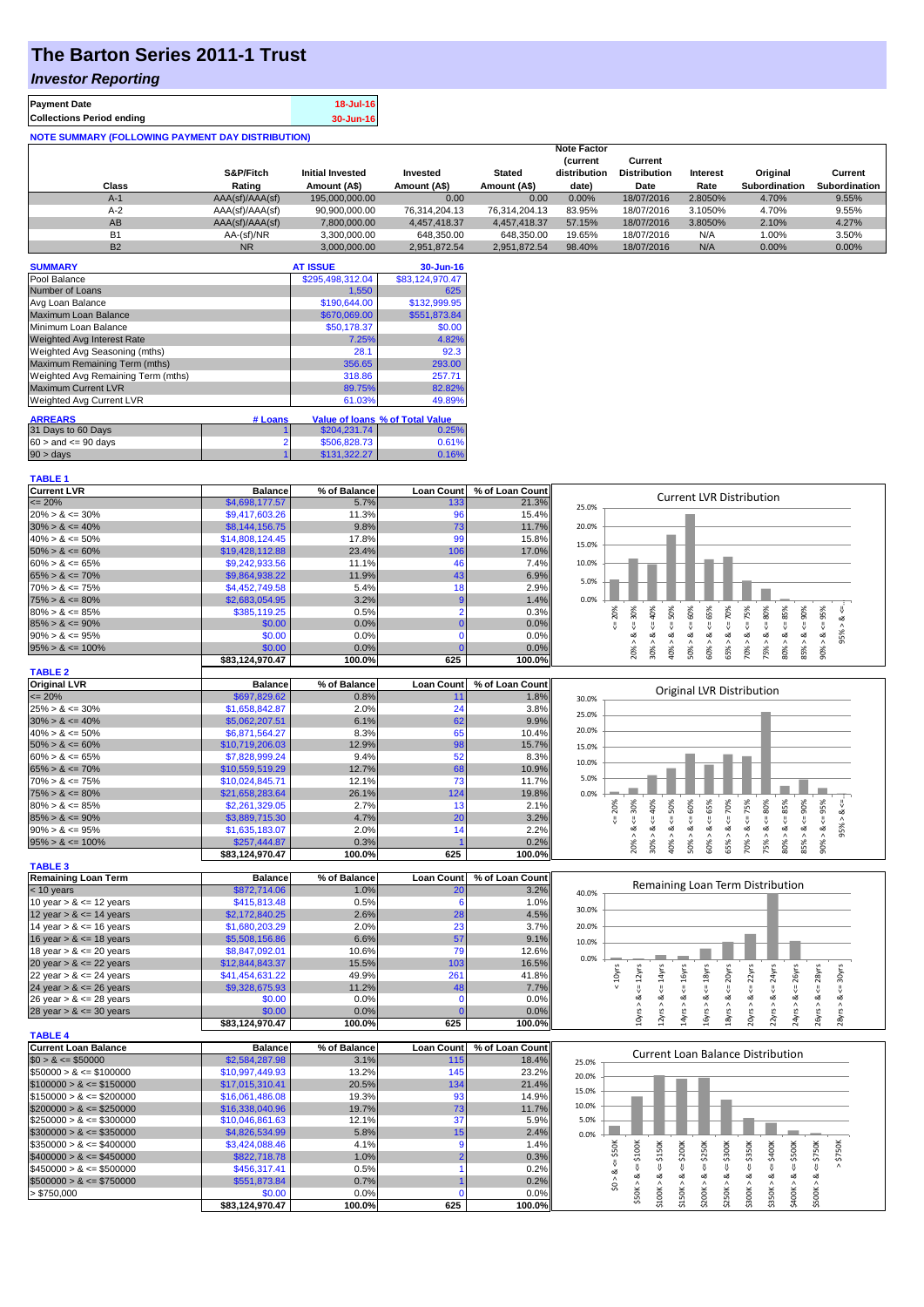## **The Barton Series 2011-1 Trust**

## *Investor Reporting*

| <b>Payment Date</b>                                      | 18-Jul-16 |
|----------------------------------------------------------|-----------|
| <b>Collections Period ending</b>                         | 30-Jun-16 |
| <b>NOTE SUMMARY (FOLLOWING PAYMENT DAY DISTRIBUTION)</b> |           |

|           |                 |                         |               |               | <b>Note Factor</b>             |                                |          |                      |                      |
|-----------|-----------------|-------------------------|---------------|---------------|--------------------------------|--------------------------------|----------|----------------------|----------------------|
|           | S&P/Fitch       | <b>Initial Invested</b> | Invested      | <b>Stated</b> | <b>Current</b><br>distribution | Current<br><b>Distribution</b> | Interest | Original             | Current              |
| Class     | Rating          | Amount (A\$)            | Amount (A\$)  | Amount (A\$)  | date)                          | Date                           | Rate     | <b>Subordination</b> | <b>Subordination</b> |
| A-1       | AAA(sf)/AAA(sf) | 195,000,000,00          | 0.00          | 0.00          | 0.00%                          | 18/07/2016                     | 2.8050%  | 4.70%                | 9.55%                |
| $A-2$     | AAA(sf)/AAA(sf) | 90.900.000.00           | 76.314.204.13 | 76.314.204.13 | 83.95%                         | 18/07/2016                     | 3.1050%  | 4.70%                | 9.55%                |
| AB        | AAA(sf)/AAA(sf) | 7.800.000.00            | 4.457.418.37  | 4.457.418.37  | 57.15%                         | 18/07/2016                     | 3.8050%  | 2.10%                | 4.27%                |
| <b>B1</b> | AA-(sf)/NR      | 3.300.000.00            | 648.350.00    | 648.350.00    | 19.65%                         | 18/07/2016                     | N/A      | 1.00%                | 3.50%                |
| <b>B2</b> | <b>NR</b>       | 3.000.000.00            | 2.951.872.54  | 2.951.872.54  | 98.40%                         | 18/07/2016                     | N/A      | 0.00%                | 0.00%                |

| <b>SUMMARY</b>                     |                | <b>AT ISSUE</b>  | 30-Jun-16                       |
|------------------------------------|----------------|------------------|---------------------------------|
| Pool Balance                       |                | \$295,498,312.04 | \$83,124,970.47                 |
| Number of Loans                    |                | 1.550            | 625                             |
| Avg Loan Balance                   |                | \$190,644.00     | \$132.999.95                    |
| Maximum Loan Balance               |                | \$670,069.00     | \$551,873.84                    |
| Minimum Loan Balance               |                | \$50,178.37      | \$0.00                          |
| <b>Weighted Avg Interest Rate</b>  |                | 7.25%            | 4.82%                           |
| Weighted Avg Seasoning (mths)      |                | 28.1             | 92.3                            |
| Maximum Remaining Term (mths)      |                | 356.65           | 293.00                          |
| Weighted Avg Remaining Term (mths) |                | 318.86           | 257.71                          |
| <b>Maximum Current LVR</b>         |                | 89.75%           | 82.82%                          |
| Weighted Avg Current LVR           |                | 61.03%           | 49.89%                          |
| <b>ARREARS</b>                     | # Loans        |                  | Value of Ioans % of Total Value |
| 31 Days to 60 Days                 |                | \$204.231.74     | 0.25%                           |
| $60 >$ and $\leq 90$ days          | $\overline{2}$ | \$506,828.73     | 0.61%                           |
| $90 > \text{days}$                 |                | \$131.322.27     | 0.16%                           |

|--|

| <b>Current LVR</b>   | <b>Balance</b>  | % of Balance | <b>Loan Count</b> | % of Loan Count |       |    |     |   |   | Current LVR Distribution |   |    |     |   |  |
|----------------------|-----------------|--------------|-------------------|-----------------|-------|----|-----|---|---|--------------------------|---|----|-----|---|--|
| $\leq$ 20%           | \$4,698,177.57  | 5.7%         | 133               | 21.3%           | 25.0% |    |     |   |   |                          |   |    |     |   |  |
| $20\% > 8 \le 30\%$  | \$9,417,603.26  | 11.3%        | 96                | 15.4%           |       |    |     |   |   |                          |   |    |     |   |  |
| $30\% > 8 \le 40\%$  | \$8,144,156.75  | 9.8%         | 73                | 11.7%           | 20.0% |    |     |   |   |                          |   |    |     |   |  |
| $40\% > 8 \le 50\%$  | \$14,808,124,45 | 17.8%        | 99                | 15.8%           | 15.0% |    |     |   |   |                          |   |    |     |   |  |
| $50\% > 8 \le 60\%$  | \$19,428,112,88 | 23.4%        | 106               | 17.0%           |       |    |     |   |   |                          |   |    |     |   |  |
| $60\% > 8 \le 65\%$  | \$9,242,933.56  | 11.1%        |                   | 7.4%            | 10.0% |    |     |   |   |                          |   |    |     |   |  |
| $65\% > 8 \le 70\%$  | \$9,864,938.22  | 11.9%        | 43                | 6.9%            | 5.0%  |    |     |   |   |                          |   |    |     |   |  |
| $70\% > 8 \le 75\%$  | \$4,452,749.58  | 5.4%         |                   | 2.9%            |       |    |     |   |   |                          |   |    |     |   |  |
| $75\% > 8 \le 80\%$  | \$2,683,054.95  | 3.2%         |                   | 1.4%            | 0.0%  |    |     |   |   |                          |   |    |     |   |  |
| $80\% > 8 \le 85\%$  | \$385,119.25    | 0.5%         |                   | 0.3%            |       | ని |     |   |   | ĝ                        |   |    | ð,  | 웂 |  |
| $85\% > 8 \le 90\%$  | \$0.00          | $0.0\%$      |                   | 0.0%            |       |    |     |   |   |                          |   |    |     |   |  |
| $90\% > 8 \le 95\%$  | \$0.00          | 0.0%         |                   | 0.0%            |       |    |     |   |   |                          |   |    |     |   |  |
| $95\% > 8 \le 100\%$ | \$0.00          | 0.0%         |                   | 0.0%            |       |    | ຂຶ  | ∊ | ŝ | SS <sub>X</sub>          | ∘ |    | 85% |   |  |
|                      | \$83.124.970.47 | 100.0%       | 625               | 100.0%l         |       |    | င္က |   |   |                          |   | S. |     |   |  |

| <b>TABLE 2</b>       |                 |              |                   |                 |       |     |     |     |                           |   |      |                 |     |     |          |     |     |     |
|----------------------|-----------------|--------------|-------------------|-----------------|-------|-----|-----|-----|---------------------------|---|------|-----------------|-----|-----|----------|-----|-----|-----|
| <b>Original LVR</b>  | <b>Balance</b>  | % of Balance | <b>Loan Count</b> | % of Loan Count |       |     |     |     |                           |   |      |                 |     |     |          |     |     |     |
| $\leq$ 20%           | \$697,829.62    | 0.8%         |                   | 1.8%            | 30.0% |     |     |     | Original LVR Distribution |   |      |                 |     |     |          |     |     |     |
| $25\% > 8 \le 30\%$  | \$1,658,842.87  | 2.0%         |                   | 3.8%            | 25.0% |     |     |     |                           |   |      |                 |     |     |          |     |     |     |
| $30\% > 8 \le 40\%$  | \$5,062,207.51  | 6.1%         | 62                | 9.9%            |       |     |     |     |                           |   |      |                 |     |     |          |     |     |     |
| $40\% > 8 \le 50\%$  | \$6,871,564.27  | 8.3%         | 65                | 10.4%           | 20.0% |     |     |     |                           |   |      |                 |     |     |          |     |     |     |
| $50\% > 8 \le 60\%$  | \$10,719,206.03 | 12.9%        | 98                | 15.7%           | 15.0% |     |     |     |                           |   |      |                 |     |     |          |     |     |     |
| $60\% > 8 \le 65\%$  | \$7,828,999.24  | 9.4%         | 52                | 8.3%            | 10.0% |     |     |     |                           |   |      |                 |     |     |          |     |     |     |
| $65\% > 8 \le 70\%$  | \$10,559,519.29 | 12.7%        | 68                | 10.9%           |       |     |     |     |                           |   |      |                 |     |     |          |     |     |     |
| $70\% > 8 \le 75\%$  | \$10.024.845.71 | 12.1%        | 73                | 11.7%           | 5.0%  |     |     |     |                           |   |      |                 |     |     |          |     |     |     |
| $75\% > 8 \le 80\%$  | \$21,658,283.64 | 26.1%        | 124               | 19.8%           | 0.0%  |     |     |     |                           |   |      |                 |     |     |          |     |     |     |
| $80\% > 8 \le 85\%$  | \$2,261,329.05  | 2.7%         |                   | 2.1%            |       | 20% | 30% | 8   | ŝ                         | ŝ | ភ្លិ | 70%             | 75% | 80% | 85%      | 90% | 95% |     |
| $85\% > 8 \le 90\%$  | \$3,889,715,30  | 4.7%         | 20                | 3.2%            |       |     |     |     |                           |   |      |                 |     |     |          |     |     |     |
| $90\% > 8 \le 95\%$  | \$1,635,183.07  | 2.0%         |                   | 2.2%            |       |     | ∝   | ∞   | ∝                         |   | o7   |                 | o7  | œ   | ∞        | ∝   |     | 95% |
| $95\% > 8 \le 100\%$ | \$257,444.87    | 0.3%         |                   | 0.2%            |       |     | å,  | 30% | 40%                       | ∘ |      | æ<br>ūn.        | 70% | 75% | និ0<br>ន | 85% | 90% |     |
|                      | \$83.124.970.47 | 100.0%       | 625               | 100.0%          |       |     |     |     |                           |   | S.   | $\overline{10}$ |     |     |          |     |     |     |

| <b>TABLE 3</b>             |                 |              |                   |                 |       |    |    |    |   |                                  |  |
|----------------------------|-----------------|--------------|-------------------|-----------------|-------|----|----|----|---|----------------------------------|--|
| <b>Remaining Loan Term</b> | <b>Balance</b>  | % of Balance | <b>Loan Count</b> | % of Loan Count |       |    |    |    |   |                                  |  |
| $<$ 10 years               | \$872,714.06    | 1.0%         | 20                | 3.2%            | 40.0% |    |    |    |   | Remaining Loan Term Distribution |  |
| 10 year $> 8 \le 12$ years | \$415,813.48    | 0.5%         |                   | 1.0%            |       |    |    |    |   |                                  |  |
| 12 year $> 8 \le 14$ years | \$2,172,840.25  | 2.6%         | 28                | 4.5%            | 30.0% |    |    |    |   |                                  |  |
| 14 year $> 8 \le 16$ years | \$1,680,203.29  | 2.0%         | 23                | 3.7%            | 20.0% |    |    |    |   |                                  |  |
| 16 year $> 8 \le 18$ years | \$5,508,156.86  | 6.6%         | 57                | 9.1%            | 10.0% |    |    |    |   |                                  |  |
| 18 year $> 8 \le 20$ years | \$8,847,092.01  | 10.6%        | 79                | 12.6%           |       |    |    |    |   |                                  |  |
| 20 year $> 8 \le 22$ years | \$12,844,843.37 | 15.5%        | 103               | 16.5%           | 0.0%  |    |    |    |   |                                  |  |
| 22 year $> 8 \le 24$ years | \$41,454,631.22 | 49.9%        | 261               | 41.8%           |       | ζŽ | .৯ | వ్ | ξ | Σyr                              |  |
| 24 year $> 8 \le 26$ years | \$9,328,675.93  | 11.2%        | 48                | 7.7%            |       |    |    |    |   |                                  |  |
| 26 year $> 8 \le 28$ years | \$0.00          | $0.0\%$      |                   | 0.0%            |       |    |    |    |   |                                  |  |
| 28 year $> 8 \le 30$ years | \$0.00          | $0.0\%$      |                   | 0.0%            |       |    |    |    |   |                                  |  |
|                            | \$83.124.970.47 | 100.0%       | 625               | 100.0%          |       |    |    |    |   |                                  |  |

| <b>TABLE 4</b>               |                 |              |                   |                 |       |  |                                   |                  |        |        |      |   |    |        |  |
|------------------------------|-----------------|--------------|-------------------|-----------------|-------|--|-----------------------------------|------------------|--------|--------|------|---|----|--------|--|
| <b>Current Loan Balance</b>  | <b>Balance</b>  | % of Balance | <b>Loan Count</b> | % of Loan Count |       |  | Current Loan Balance Distribution |                  |        |        |      |   |    |        |  |
| $$0 > 8 \leq $50000$         | \$2,584,287.98  | 3.1%         | 115               | 18.4%           | 25.0% |  |                                   |                  |        |        |      |   |    |        |  |
| $\$50000 > 8 \leq \$100000$  | \$10,997,449.93 | 13.2%        | 145               | 23.2%           | 20.0% |  |                                   |                  |        |        |      |   |    |        |  |
| $$100000 > 8 \leq $150000$   | \$17.015.310.41 | 20.5%        | 134               | 21.4%           |       |  |                                   |                  |        |        |      |   |    |        |  |
| $$150000 > 8 \leq $200000$   | \$16,061,486.08 | 19.3%        | 93                | 14.9%           | 15.0% |  |                                   |                  |        |        |      |   |    |        |  |
| $$200000 > 8 \leq $250000$   | \$16,338,040.96 | 19.7%        | 73                | 11.7%           | 10.0% |  |                                   |                  |        |        |      |   |    |        |  |
| $\$250000 > 8 \leq \$300000$ | \$10,046,861.63 | 12.1%        | 37                | 5.9%            | 5.0%  |  |                                   |                  |        |        |      |   |    |        |  |
| $$300000 > 8 \leq $350000$   | \$4,826,534.99  | 5.8%         | 15 <sup>1</sup>   | 2.4%            | 0.0%  |  |                                   |                  |        |        |      |   |    |        |  |
| $\$350000 > 8 \leq \$400000$ | \$3,424,088.46  | 4.1%         |                   | 1.4%            |       |  |                                   | $\overline{200}$ | ក្តី   | 300K   | ន្តិ | ă | õЖ | 50K    |  |
| $$400000 > 8 \leq $450000$   | \$822,718.78    | 1.0%         |                   | 0.3%            |       |  |                                   |                  | $\sim$ |        |      |   |    | ∼<br>٠ |  |
| $\$450000 > 8 \leq \$500000$ | \$456,317.41    | 0.5%         |                   | 0.2%            |       |  |                                   |                  |        |        |      |   |    |        |  |
| $$500000 > 8 \leq $750000$   | \$551,873,84    | 0.7%         |                   | 0.2%            |       |  |                                   |                  |        |        |      | œ |    |        |  |
| > \$750,000                  | \$0.00          | 0.0%         |                   | $0.0\%$         |       |  |                                   |                  |        | ਟ      |      | ⌒ | ನ  |        |  |
|                              | \$83.124.970.47 | 100.0%       | 625               | 100.0%l         |       |  |                                   |                  |        | $\sim$ |      |   |    |        |  |

18yrs > & <= 20yrs  $20yrs > 8s \le 22yrs$  $22yrs > 8 <= 24yrs$  $24yrs > 8s \leq 26yrs$ 26yrs > & <= 28yrs 28yrs > & <= 30yrs

 $\frac{1}{2}$   $\frac{1}{2}$   $\frac{1}{2}$   $\frac{1}{2}$   $\frac{1}{2}$   $\frac{1}{2}$   $\frac{1}{2}$   $\frac{1}{2}$   $\frac{1}{2}$   $\frac{1}{2}$   $\frac{1}{2}$   $\frac{1}{2}$   $\frac{1}{2}$   $\frac{1}{2}$   $\frac{1}{2}$   $\frac{1}{2}$   $\frac{1}{2}$   $\frac{1}{2}$   $\frac{1}{2}$   $\frac{1}{2}$   $\frac{1}{2}$   $\frac{1}{2}$   $\gamma$ rs > & <= 30yrs